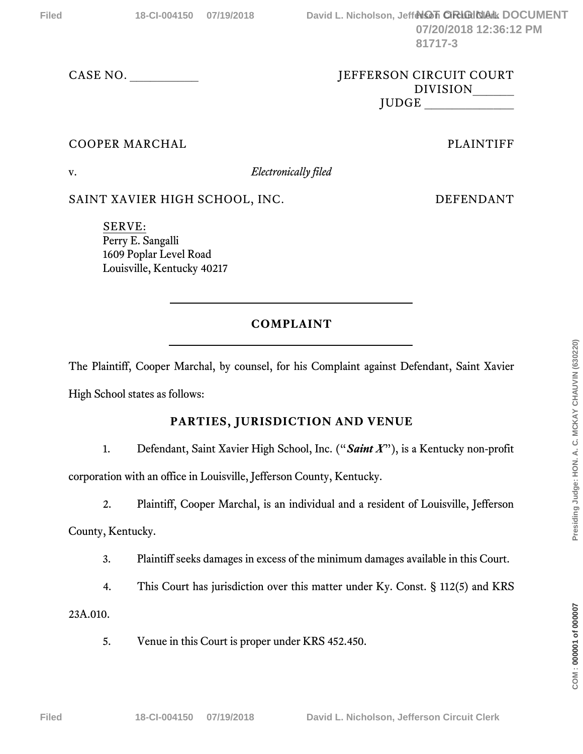### CASE NO. \_\_\_\_\_\_\_\_\_\_ JEFFERSON CIRCUIT COURT DIVISION\_\_\_\_\_\_ JUDGE \_\_\_\_\_\_\_\_\_\_\_\_\_

# COOPER MARCHAL **PLAINTIFF**

v. *Electronically filed*

SAINT XAVIER HIGH SCHOOL, INC. DEFENDANT

SERVE: Perry E. Sangalli 1609 Poplar Level Road Louisville, Kentucky 40217

# **COMPLAINT**

The Plaintiff, Cooper Marchal, by counsel, for his Complaint against Defendant, Saint Xavier High School states as follows:

## **PARTIES, JURISDICTION AND VENUE**

1. Defendant, Saint Xavier High School, Inc. ("*Saint X*"), is a Kentucky non-profit

corporation with an office in Louisville, Jefferson County, Kentucky.

2. Plaintiff, Cooper Marchal, is an individual and a resident of Louisville, Jefferson

County, Kentucky.

- 3. Plaintiff seeks damages in excess of the minimum damages available in this Court.
- 4. This Court has jurisdiction over this matter under Ky. Const. § 112(5) and KRS

23A.010.

5. Venue in this Court is proper under KRS 452.450.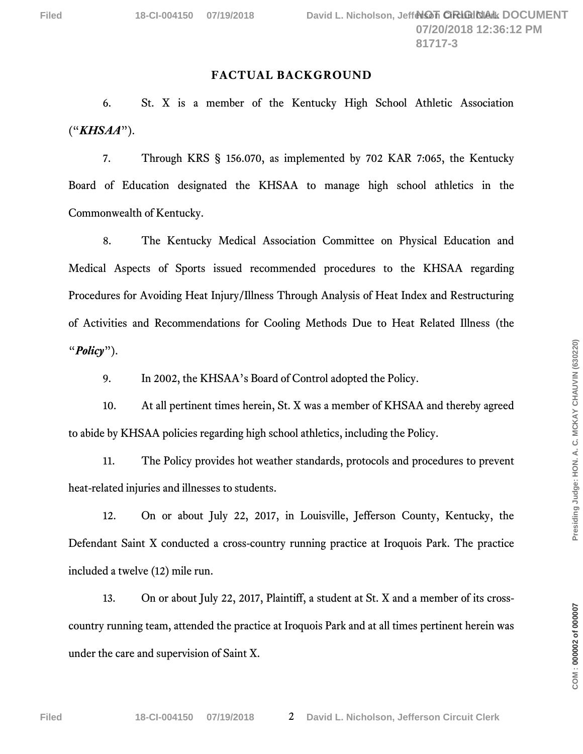#### **FACTUAL BACKGROUND**

6. St. X is a member of the Kentucky High School Athletic Association ("*KHSAA*").

7. Through KRS § 156.070, as implemented by 702 KAR 7:065, the Kentucky Board of Education designated the KHSAA to manage high school athletics in the Commonwealth of Kentucky.

8. The Kentucky Medical Association Committee on Physical Education and Medical Aspects of Sports issued recommended procedures to the KHSAA regarding Procedures for Avoiding Heat Injury/Illness Through Analysis of Heat Index and Restructuring of Activities and Recommendations for Cooling Methods Due to Heat Related Illness (the "*Policy*").

9. In 2002, the KHSAA's Board of Control adopted the Policy.

10. At all pertinent times herein, St. X was a member of KHSAA and thereby agreed to abide by KHSAA policies regarding high school athletics, including the Policy.

11. The Policy provides hot weather standards, protocols and procedures to prevent heat-related injuries and illnesses to students.

12. On or about July 22, 2017, in Louisville, Jefferson County, Kentucky, the Defendant Saint X conducted a cross-country running practice at Iroquois Park. The practice included a twelve (12) mile run.

13. On or about July 22, 2017, Plaintiff, a student at St. X and a member of its crosscountry running team, attended the practice at Iroquois Park and at all times pertinent herein was under the care and supervision of Saint X.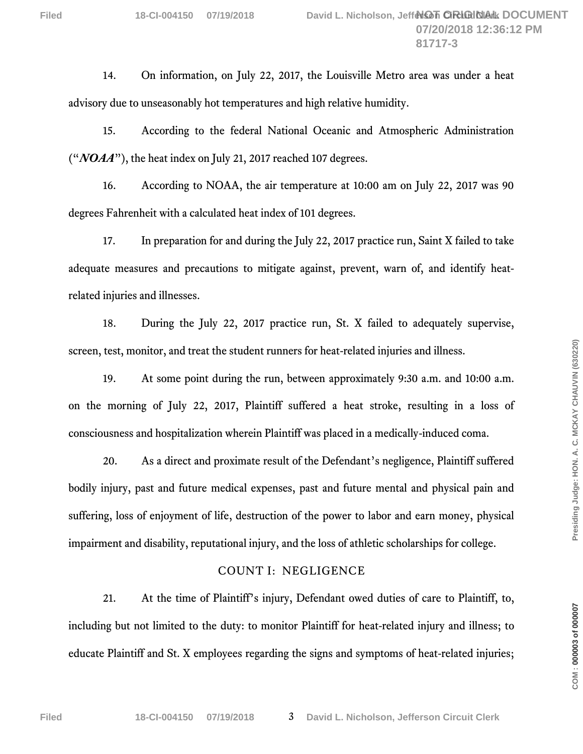14. On information, on July 22, 2017, the Louisville Metro area was under a heat advisory due to unseasonably hot temperatures and high relative humidity.

15. According to the federal National Oceanic and Atmospheric Administration ("*NOAA*"), the heat index on July 21, 2017 reached 107 degrees.

16. According to NOAA, the air temperature at 10:00 am on July 22, 2017 was 90 degrees Fahrenheit with a calculated heat index of 101 degrees.

17. In preparation for and during the July 22, 2017 practice run, Saint X failed to take adequate measures and precautions to mitigate against, prevent, warn of, and identify heatrelated injuries and illnesses.

18. During the July 22, 2017 practice run, St. X failed to adequately supervise, screen, test, monitor, and treat the student runners for heat-related injuries and illness.

19. At some point during the run, between approximately 9:30 a.m. and 10:00 a.m. on the morning of July 22, 2017, Plaintiff suffered a heat stroke, resulting in a loss of consciousness and hospitalization wherein Plaintiff was placed in a medically-induced coma.

20. As a direct and proximate result of the Defendant's negligence, Plaintiff suffered bodily injury, past and future medical expenses, past and future mental and physical pain and suffering, loss of enjoyment of life, destruction of the power to labor and earn money, physical impairment and disability, reputational injury, and the loss of athletic scholarships for college.

### COUNT I: NEGLIGENCE

21. At the time of Plaintiff's injury, Defendant owed duties of care to Plaintiff, to, including but not limited to the duty: to monitor Plaintiff for heat-related injury and illness; to educate Plaintiff and St. X employees regarding the signs and symptoms of heat-related injuries;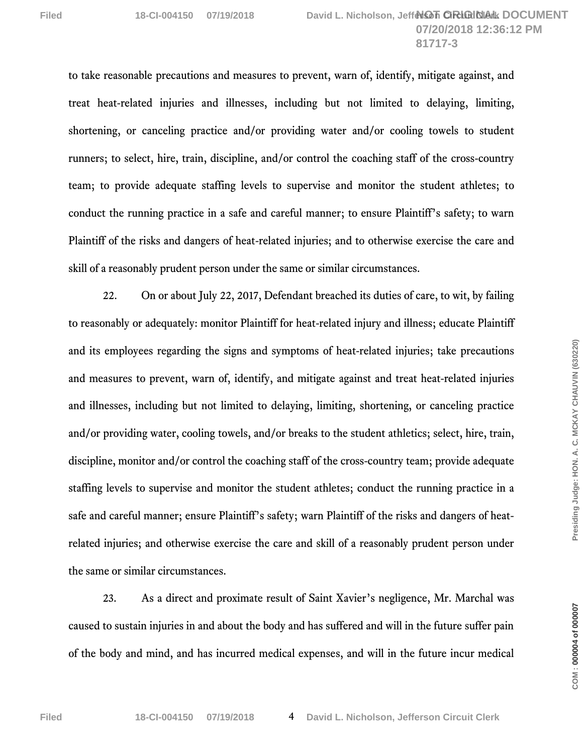to take reasonable precautions and measures to prevent, warn of, identify, mitigate against, and treat heat-related injuries and illnesses, including but not limited to delaying, limiting, shortening, or canceling practice and/or providing water and/or cooling towels to student runners; to select, hire, train, discipline, and/or control the coaching staff of the cross-country team; to provide adequate staffing levels to supervise and monitor the student athletes; to conduct the running practice in a safe and careful manner; to ensure Plaintiff's safety; to warn Plaintiff of the risks and dangers of heat-related injuries; and to otherwise exercise the care and skill of a reasonably prudent person under the same or similar circumstances.

22. On or about July 22, 2017, Defendant breached its duties of care, to wit, by failing to reasonably or adequately: monitor Plaintiff for heat-related injury and illness; educate Plaintiff and its employees regarding the signs and symptoms of heat-related injuries; take precautions and measures to prevent, warn of, identify, and mitigate against and treat heat-related injuries and illnesses, including but not limited to delaying, limiting, shortening, or canceling practice and/or providing water, cooling towels, and/or breaks to the student athletics; select, hire, train, discipline, monitor and/or control the coaching staff of the cross-country team; provide adequate staffing levels to supervise and monitor the student athletes; conduct the running practice in a safe and careful manner; ensure Plaintiff's safety; warn Plaintiff of the risks and dangers of heatrelated injuries; and otherwise exercise the care and skill of a reasonably prudent person under the same or similar circumstances.

23. As a direct and proximate result of Saint Xavier's negligence, Mr. Marchal was caused to sustain injuries in and about the body and has suffered and will in the future suffer pain of the body and mind, and has incurred medical expenses, and will in the future incur medical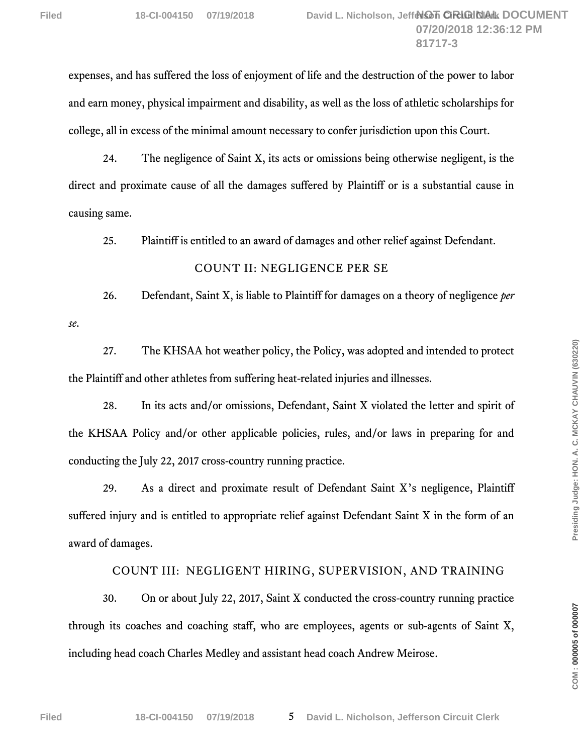expenses, and has suffered the loss of enjoyment of life and the destruction of the power to labor and earn money, physical impairment and disability, as well as the loss of athletic scholarships for college, all in excess of the minimal amount necessary to confer jurisdiction upon this Court.

24. The negligence of Saint X, its acts or omissions being otherwise negligent, is the direct and proximate cause of all the damages suffered by Plaintiff or is a substantial cause in causing same.

25. Plaintiff is entitled to an award of damages and other relief against Defendant.

### COUNT II: NEGLIGENCE PER SE

26. Defendant, Saint X, is liable to Plaintiff for damages on a theory of negligence *per se*.

27. The KHSAA hot weather policy, the Policy, was adopted and intended to protect the Plaintiff and other athletes from suffering heat-related injuries and illnesses.

28. In its acts and/or omissions, Defendant, Saint X violated the letter and spirit of the KHSAA Policy and/or other applicable policies, rules, and/or laws in preparing for and conducting the July 22, 2017 cross-country running practice.

29. As a direct and proximate result of Defendant Saint X's negligence, Plaintiff suffered injury and is entitled to appropriate relief against Defendant Saint X in the form of an award of damages.

### COUNT III: NEGLIGENT HIRING, SUPERVISION, AND TRAINING

30. On or about July 22, 2017, Saint X conducted the cross-country running practice through its coaches and coaching staff, who are employees, agents or sub-agents of Saint X, including head coach Charles Medley and assistant head coach Andrew Meirose.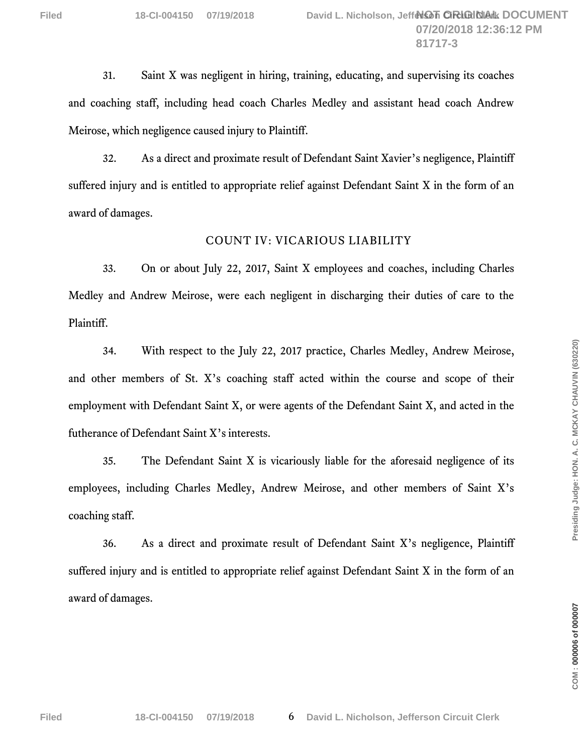31. Saint X was negligent in hiring, training, educating, and supervising its coaches and coaching staff, including head coach Charles Medley and assistant head coach Andrew Meirose, which negligence caused injury to Plaintiff.

32. As a direct and proximate result of Defendant Saint Xavier's negligence, Plaintiff suffered injury and is entitled to appropriate relief against Defendant Saint X in the form of an award of damages.

#### COUNT IV: VICARIOUS LIABILITY

33. On or about July 22, 2017, Saint X employees and coaches, including Charles Medley and Andrew Meirose, were each negligent in discharging their duties of care to the Plaintiff.

34. With respect to the July 22, 2017 practice, Charles Medley, Andrew Meirose, and other members of St. X's coaching staff acted within the course and scope of their employment with Defendant Saint X, or were agents of the Defendant Saint X, and acted in the futherance of Defendant Saint X's interests.

35. The Defendant Saint X is vicariously liable for the aforesaid negligence of its employees, including Charles Medley, Andrew Meirose, and other members of Saint X's coaching staff.

36. As a direct and proximate result of Defendant Saint X's negligence, Plaintiff suffered injury and is entitled to appropriate relief against Defendant Saint X in the form of an award of damages.